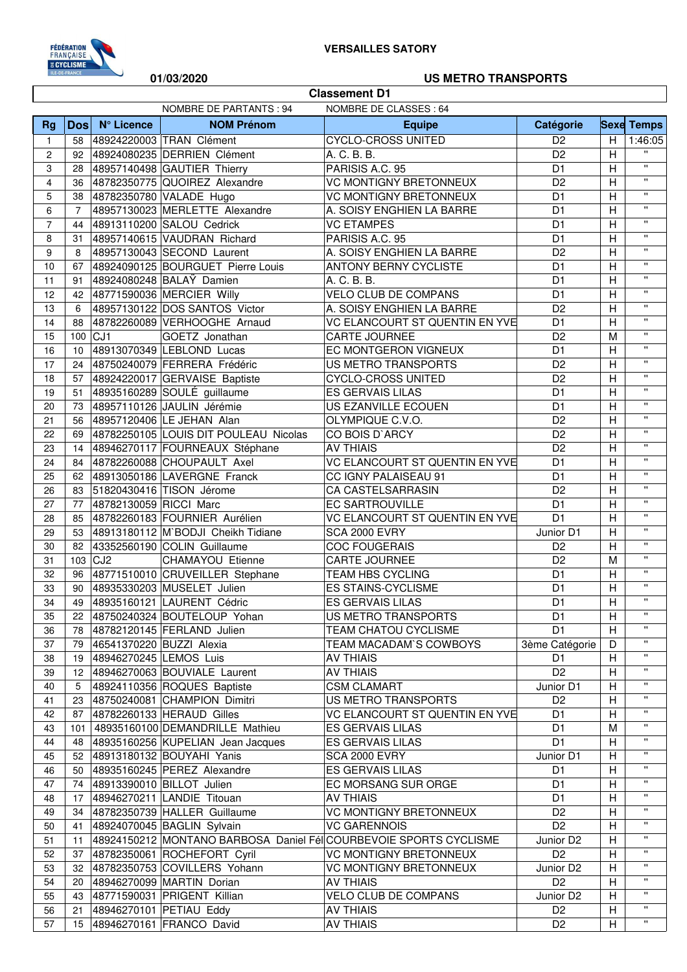

 $\overline{\phantom{a}}$ 

## **01/03/2020 US METRO TRANSPORTS**

|                | <b>Classement D1</b>                              |                        |                                       |                                                                   |                |                |                    |  |
|----------------|---------------------------------------------------|------------------------|---------------------------------------|-------------------------------------------------------------------|----------------|----------------|--------------------|--|
|                | NOMBRE DE PARTANTS : 94<br>NOMBRE DE CLASSES : 64 |                        |                                       |                                                                   |                |                |                    |  |
| <b>Rg</b>      | <b>Dos</b>                                        | N° Licence             | <b>NOM Prénom</b>                     | <b>Equipe</b>                                                     | Catégorie      |                | <b>Sexe Temps</b>  |  |
| $\mathbf{1}$   | 58                                                |                        | 48924220003 TRAN Clément              | <b>CYCLO-CROSS UNITED</b>                                         | D <sub>2</sub> | H              | 1:46:05            |  |
| 2              | 92                                                |                        | 48924080235 DERRIEN Clément           | A. C. B. B.                                                       | D <sub>2</sub> | H              | $\mathbf{H}$       |  |
| 3              | 28                                                |                        | 48957140498 GAUTIER Thierry           | PARISIS A.C. 95                                                   | D <sub>1</sub> | $\mathsf{H}$   | $\mathbf{u}$       |  |
| 4              | 36                                                |                        | 48782350775 QUOIREZ Alexandre         | <b>VC MONTIGNY BRETONNEUX</b>                                     | D <sub>2</sub> | H              | $\mathbf{u}$       |  |
| 5              | 38                                                |                        | 48782350780 VALADE Hugo               | <b>VC MONTIGNY BRETONNEUX</b>                                     | D <sub>1</sub> | H              | $\pmb{\mathsf{H}}$ |  |
| 6              | $\overline{7}$                                    |                        | 48957130023 MERLETTE Alexandre        | A. SOISY ENGHIEN LA BARRE                                         | D <sub>1</sub> | $\overline{H}$ | $\pmb{\mathsf{H}}$ |  |
| $\overline{7}$ | 44                                                |                        | 48913110200 SALOU Cedrick             | <b>VC ETAMPES</b>                                                 | D <sub>1</sub> | $\overline{H}$ | $\pmb{\mathsf{H}}$ |  |
| 8              | 31                                                |                        | 48957140615 VAUDRAN Richard           | PARISIS A.C. 95                                                   | D <sub>1</sub> | $\overline{H}$ | $\pmb{\mathsf{H}}$ |  |
| 9              | 8                                                 |                        | 48957130043 SECOND Laurent            | A. SOISY ENGHIEN LA BARRE                                         | D <sub>2</sub> | H              | $\pmb{\mathsf{H}}$ |  |
| 10             | 67                                                |                        | 48924090125 BOURGUET Pierre Louis     | <b>ANTONY BERNY CYCLISTE</b>                                      | D <sub>1</sub> | $\overline{H}$ | $\pmb{\mathsf{H}}$ |  |
| 11             | 91                                                |                        | 48924080248 BALAY Damien              | A. C. B. B.                                                       | D <sub>1</sub> | $\overline{H}$ | $\pmb{\mathsf{H}}$ |  |
| 12             | 42                                                |                        | 48771590036 MERCIER Willy             | <b>VELO CLUB DE COMPANS</b>                                       | D <sub>1</sub> | H              | $\pmb{\mathsf{H}}$ |  |
| 13             | 6                                                 |                        | 48957130122 DOS SANTOS Victor         | A. SOISY ENGHIEN LA BARRE                                         | D <sub>2</sub> | $\overline{H}$ | $\mathbf{u}$       |  |
| 14             | 88                                                |                        | 48782260089 VERHOOGHE Arnaud          | VC ELANCOURT ST QUENTIN EN YVE                                    | D <sub>1</sub> | $\overline{H}$ | $\mathbf{u}$       |  |
| 15             | $100$ CJ1                                         |                        | GOETZ Jonathan                        | CARTE JOURNEE                                                     | D <sub>2</sub> | M              | $\mathbf{u}$       |  |
| 16             | 10                                                |                        | 48913070349 LEBLOND Lucas             | EC MONTGERON VIGNEUX                                              | D <sub>1</sub> | H              | $\pmb{\mathsf{H}}$ |  |
| 17             | 24                                                |                        | 48750240079 FERRERA Frédéric          | <b>US METRO TRANSPORTS</b>                                        | D <sub>2</sub> | H              | $\pmb{\mathsf{H}}$ |  |
| 18             | 57                                                |                        | 48924220017 GERVAISE Baptiste         | <b>CYCLO-CROSS UNITED</b>                                         | D <sub>2</sub> | H              | $\pmb{\mathsf{H}}$ |  |
| 19             | 51                                                |                        | 48935160289 SOULÉ guillaume           | <b>ES GERVAIS LILAS</b>                                           | D <sub>1</sub> | H              | $\mathbf{H}$       |  |
| 20             | 73                                                |                        | 48957110126 JAULIN Jérémie            | US EZANVILLE ECOUEN                                               | D <sub>1</sub> | $\overline{H}$ | $\mathbf{H}$       |  |
| 21             | 56                                                |                        | 48957120406 LE JEHAN Alan             | OLYMPIQUE C.V.O.                                                  | D <sub>2</sub> | H              | $\pmb{\mathsf{H}}$ |  |
| 22             | 69                                                |                        | 48782250105 LOUIS DIT POULEAU Nicolas | CO BOIS D'ARCY                                                    | D <sub>2</sub> | $\overline{H}$ | $\mathbf{H}$       |  |
| 23             | 14                                                |                        | 48946270117 FOURNEAUX Stéphane        | <b>AV THIAIS</b>                                                  | D <sub>2</sub> | H              | $\mathbf{H}$       |  |
| 24             | 84                                                |                        | 48782260088 CHOUPAULT Axel            | VC ELANCOURT ST QUENTIN EN YVE                                    | D <sub>1</sub> | $\overline{H}$ | $\pmb{\mathsf{H}}$ |  |
| 25             | 62                                                |                        | 48913050186 LAVERGNE Franck           | CC IGNY PALAISEAU 91                                              | D <sub>1</sub> | $\overline{H}$ | $\mathbf{H}$       |  |
| 26             | 83                                                |                        | 51820430416 TISON Jérome              | CA CASTELSARRASIN                                                 | D <sub>2</sub> | $\overline{H}$ | $\mathbf{H}$       |  |
| 27             | 77                                                | 48782130059 RICCI Marc |                                       | <b>EC SARTROUVILLE</b>                                            | D <sub>1</sub> | $\overline{H}$ | $\pmb{\mathsf{H}}$ |  |
| 28             | 85                                                |                        | 48782260183 FOURNIER Aurélien         | VC ELANCOURT ST QUENTIN EN YVE                                    | D <sub>1</sub> | H              | $\pmb{\mathsf{H}}$ |  |
| 29             | 53                                                |                        | 48913180112 M`BODJI Cheikh Tidiane    | <b>SCA 2000 EVRY</b>                                              | Junior D1      | $\mathsf{H}$   | $\pmb{\mathsf{H}}$ |  |
| 30             | 82                                                |                        | 43352560190 COLIN Guillaume           | <b>COC FOUGERAIS</b>                                              | D <sub>2</sub> | H              | $\pmb{\mathsf{H}}$ |  |
| 31             | 103                                               | CJ <sub>2</sub>        | <b>CHAMAYOU Etienne</b>               | CARTE JOURNEE                                                     | D <sub>2</sub> | M              | $\pmb{\mathsf{H}}$ |  |
| 32             | 96                                                |                        | 48771510010 CRUVEILLER Stephane       | <b>TEAM HBS CYCLING</b>                                           | D <sub>1</sub> | $\overline{H}$ | $\pmb{\mathsf{H}}$ |  |
| 33             | 90                                                |                        | 48935330203 MUSELET Julien            | <b>ES STAINS-CYCLISME</b>                                         | D <sub>1</sub> | $\overline{H}$ | $\mathbf{H}$       |  |
| 34             | 49                                                |                        | 48935160121 LAURENT Cédric            | <b>ES GERVAIS LILAS</b>                                           | D <sub>1</sub> | H              | $\pmb{\mathsf{H}}$ |  |
| 35             | 22                                                |                        | 48750240324 BOUTELOUP Yohan           | US METRO TRANSPORTS                                               | D <sub>1</sub> | H              | $\pmb{\mathsf{H}}$ |  |
| 36             | 78                                                |                        | 48782120145 FERLAND Julien            | TEAM CHATOU CYCLISME                                              | D1             | H              | $\pmb{\mathsf{H}}$ |  |
| 37             | 79                                                |                        | 46541370220 BUZZI Alexia              | TEAM MACADAM'S COWBOYS                                            | 3ème Catégorie | D              | $\pmb{\mathsf{H}}$ |  |
| 38             | 19                                                | 48946270245 LEMOS Luis |                                       | <b>AV THIAIS</b>                                                  | D <sub>1</sub> | H              | $\pmb{\mathsf{H}}$ |  |
| 39             |                                                   |                        | 12 48946270063 BOUVIALE Laurent       | <b>AV THIAIS</b>                                                  | D <sub>2</sub> | H              | $\pmb{\mathsf{H}}$ |  |
| 40             | 5                                                 |                        | 48924110356 ROQUES Baptiste           | <b>CSM CLAMART</b>                                                | Junior D1      | H              | $\pmb{\mathsf{H}}$ |  |
| 41             | 23                                                |                        | 48750240081 CHAMPION Dimitri          | US METRO TRANSPORTS                                               | D <sub>2</sub> | H              |                    |  |
| 42             | 87                                                |                        | 48782260133 HERAUD Gilles             | VC ELANCOURT ST QUENTIN EN YVE                                    | D <sub>1</sub> | H              |                    |  |
| 43             | 101                                               |                        | 48935160100 DEMANDRILLE Mathieu       | <b>ES GERVAIS LILAS</b>                                           | D <sub>1</sub> | M              | $\pmb{\mathsf{H}}$ |  |
| 44             | 48                                                |                        | 48935160256 KUPELIAN Jean Jacques     | <b>ES GERVAIS LILAS</b>                                           | D <sub>1</sub> | $\mathsf{H}$   | $\pmb{\mathsf{H}}$ |  |
| 45             | 52                                                |                        | 48913180132 BOUYAHI Yanis             | SCA 2000 EVRY                                                     | Junior D1      | H              | $\pmb{\mathsf{H}}$ |  |
| 46             | 50                                                |                        | 48935160245 PEREZ Alexandre           | <b>ES GERVAIS LILAS</b>                                           | D <sub>1</sub> | H              | $\pmb{\mathsf{H}}$ |  |
| 47             | 74                                                |                        | 48913390010 BILLOT Julien             | EC MORSANG SUR ORGE                                               | D <sub>1</sub> | H              | $\pmb{\mathsf{H}}$ |  |
| 48             | 17                                                |                        | 48946270211 LANDIE Titouan            | <b>AV THIAIS</b>                                                  | D <sub>1</sub> | H              | $\pmb{\mathsf{H}}$ |  |
| 49             | 34                                                |                        | 48782350739 HALLER Guillaume          | VC MONTIGNY BRETONNEUX                                            | D <sub>2</sub> | H              | $\pmb{\mathsf{H}}$ |  |
| 50             | 41                                                |                        | 48924070045 BAGLIN Sylvain            | <b>VC GARENNOIS</b>                                               | D <sub>2</sub> | H              | $\pmb{\mathsf{H}}$ |  |
| 51             | 11                                                |                        |                                       | 48924150212 MONTANO BARBOSA Daniel Fél COURBEVOIE SPORTS CYCLISME | Junior D2      | Н              | $\pmb{\mathsf{H}}$ |  |
| 52             | 37                                                |                        | 48782350061 ROCHEFORT Cyril           | <b>VC MONTIGNY BRETONNEUX</b>                                     | D <sub>2</sub> | Н              | $\pmb{\mathsf{H}}$ |  |
| 53             | 32                                                |                        | 48782350753 COVILLERS Yohann          | VC MONTIGNY BRETONNEUX                                            | Junior D2      | Н              | $\pmb{\mathsf{H}}$ |  |
| 54             | 20                                                |                        | 48946270099 MARTIN Dorian             | <b>AV THIAIS</b>                                                  | D <sub>2</sub> | Н              | $\pmb{\mathsf{H}}$ |  |
| 55             | 43                                                |                        | 48771590031 PRIGENT Killian           | <b>VELO CLUB DE COMPANS</b>                                       | Junior D2      | H              | $\pmb{\mathsf{H}}$ |  |
| 56             | 21                                                |                        | 48946270101 PETIAU Eddy               | <b>AV THIAIS</b>                                                  | D <sub>2</sub> | H              | $\pmb{\mathsf{H}}$ |  |
| 57             |                                                   |                        | 15 48946270161 FRANCO David           | <b>AV THIAIS</b>                                                  | D <sub>2</sub> | H              | $\pmb{\mathsf{H}}$ |  |
|                |                                                   |                        |                                       |                                                                   |                |                |                    |  |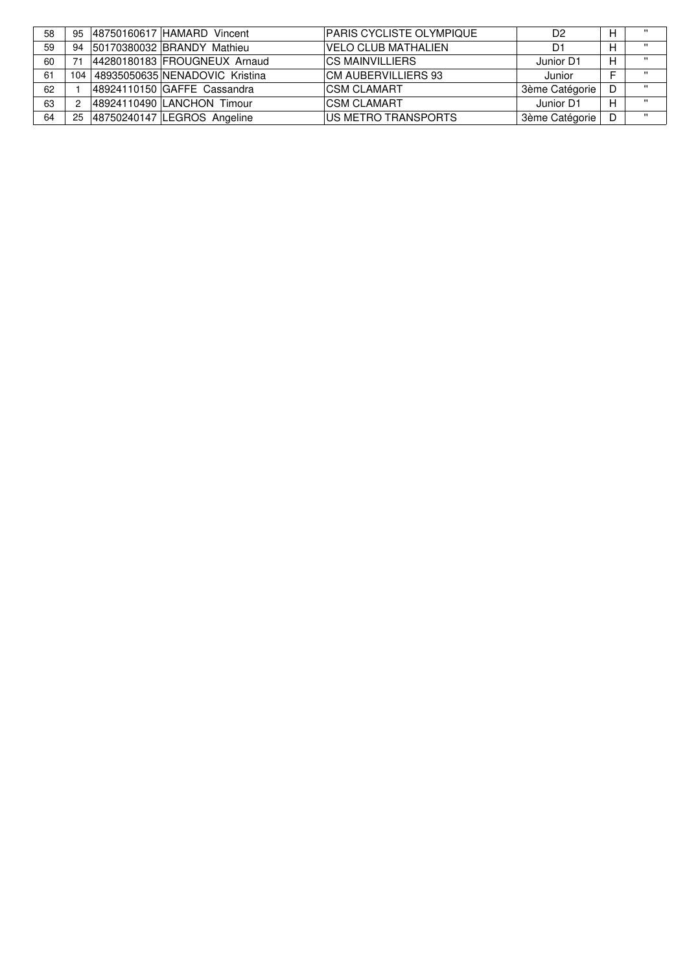| 58 | 95  | 48750160617 HAMARD Vincent     | <b>PARIS CYCLISTE OLYMPIQUE</b> | D <sub>2</sub> | н | $\mathbf{u}$ |
|----|-----|--------------------------------|---------------------------------|----------------|---|--------------|
| 59 | 94  | 50170380032 BRANDY Mathieu     | <b>VELO CLUB MATHALIEN</b>      | D1             | н | $\cdots$     |
| 60 |     | 44280180183 FROUGNEUX Arnaud   | ICS MAINVILLIERS                | Junior D1      | н | $\cdots$     |
| 61 | 104 | 48935050635 NENADOVIC Kristina | ICM AUBERVILLIERS 93            | Junior         |   | $\cdots$     |
| 62 |     | 48924110150 GAFFE Cassandra    | ICSM CLAMART                    | 3ème Catégorie |   | $\cdots$     |
| 63 |     | 48924110490 LANCHON Timour     | <b>ICSM CLAMART</b>             | Junior D1      | н | $\cdots$     |
| 64 | 25  | 48750240147 LEGROS Angeline    | IUS METRO TRANSPORTS            | 3ème Catégorie |   | $\mathbf{u}$ |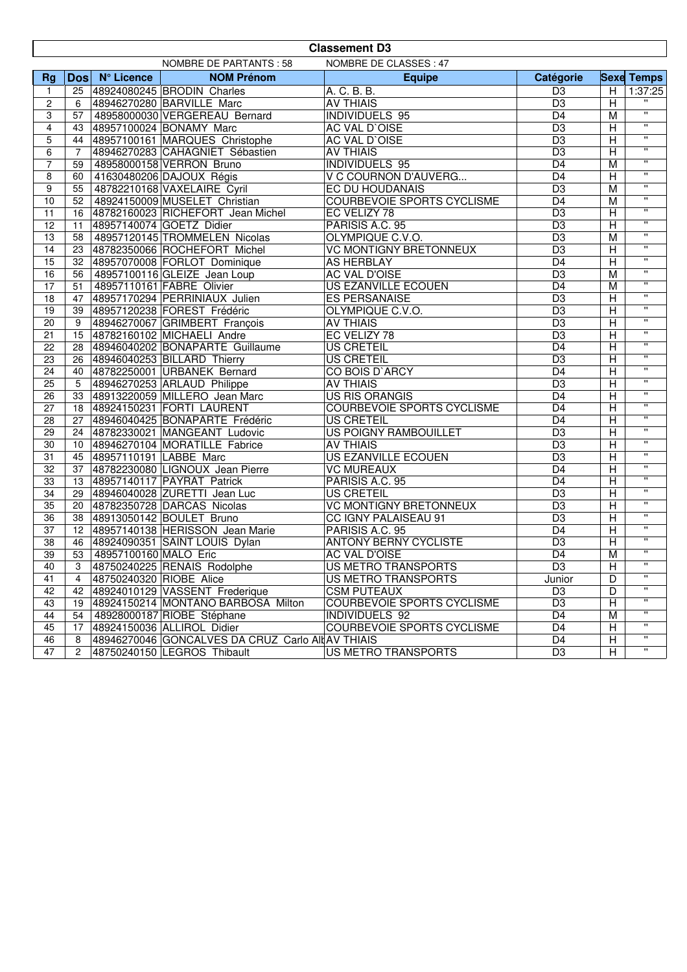|                 | <b>Classement D3</b>                              |                         |                                                   |                                   |                 |                         |                          |  |
|-----------------|---------------------------------------------------|-------------------------|---------------------------------------------------|-----------------------------------|-----------------|-------------------------|--------------------------|--|
|                 | NOMBRE DE CLASSES : 47<br>NOMBRE DE PARTANTS : 58 |                         |                                                   |                                   |                 |                         |                          |  |
| <b>Rg</b>       |                                                   | Dos N° Licence          | <b>NOM Prénom</b>                                 | <b>Equipe</b>                     | Catégorie       |                         | <b>Sexe Temps</b>        |  |
| $\mathbf{1}$    |                                                   |                         | 25 48924080245 BRODIN Charles                     | A. C. B. B.                       | D <sub>3</sub>  | Н                       | 1:37:25                  |  |
| $\overline{c}$  | 6                                                 |                         | 48946270280 BARVILLE Marc                         | <b>AV THIAIS</b>                  | $\overline{D3}$ | $\overline{H}$          |                          |  |
| 3               | 57                                                |                         | 48958000030 VERGEREAU Bernard                     | <b>INDIVIDUELS 95</b>             | $\overline{D4}$ | M                       | $\overline{\phantom{a}}$ |  |
| $\overline{4}$  | 43                                                |                         | 48957100024 BONAMY Marc                           | AC VAL D'OISE                     | D <sub>3</sub>  | $\overline{H}$          | $\overline{\phantom{a}}$ |  |
| 5               | 44                                                |                         | 48957100161 MARQUES Christophe                    | <b>AC VAL D'OISE</b>              | D <sub>3</sub>  | $\overline{\mathsf{H}}$ | π                        |  |
| 6               | $\overline{7}$                                    |                         | 48946270283 CAHAGNIET Sébastien                   | <b>AV THIAIS</b>                  | $\overline{D3}$ | $\overline{\mathsf{H}}$ | π                        |  |
| $\overline{7}$  | 59                                                |                         | 48958000158 VERRON Bruno                          | <b>INDIVIDUELS 95</b>             | D <sub>4</sub>  | $\overline{M}$          | π                        |  |
| 8               | 60                                                |                         | 41630480206 DAJOUX Régis                          | V C COURNON D'AUVERG              | D <sub>4</sub>  | $\overline{\mathsf{H}}$ | π                        |  |
| 9               | 55                                                |                         | 48782210168 VAXELAIRE Cyril                       | EC DU HOUDANAIS                   | D <sub>3</sub>  | $\overline{M}$          | π                        |  |
| 10              | 52                                                |                         | 48924150009 MUSELET Christian                     | <b>COURBEVOIE SPORTS CYCLISME</b> | $\overline{D4}$ | M                       | π                        |  |
| 11              | 16                                                |                         | 48782160023 RICHEFORT Jean Michel                 | EC VELIZY 78                      | D <sub>3</sub>  | $\overline{H}$          | π                        |  |
| $\overline{12}$ | 11                                                |                         | 48957140074 GOETZ Didier                          | PARISIS A.C. 95                   | D <sub>3</sub>  | $\overline{\mathsf{H}}$ | $\overline{\mathbf{u}}$  |  |
| 13              | 58                                                |                         | 48957120145 TROMMELEN Nicolas                     | OLYMPIQUE C.V.O.                  | D <sub>3</sub>  | $\overline{M}$          | π                        |  |
| 14              | 23                                                |                         | 48782350066 ROCHEFORT Michel                      | <b>VC MONTIGNY BRETONNEUX</b>     | D <sub>3</sub>  | $\mathsf{H}$            | π                        |  |
| $\overline{15}$ | 32                                                |                         | 48957070008 FORLOT Dominique                      | AS HERBLAY                        | $\overline{D4}$ | $\overline{H}$          | π                        |  |
| 16              | 56                                                |                         | 48957100116 GLEIZE Jean Loup                      | <b>AC VAL D'OISE</b>              | D <sub>3</sub>  | $\overline{M}$          | π                        |  |
| $\overline{17}$ | 51                                                |                         | 48957110161 FABRE Olivier                         | <b>US EZANVILLE ECOUEN</b>        | $\overline{D4}$ | $\overline{M}$          | $\pmb{\mathsf{H}}$       |  |
| 18              | 47                                                |                         | 48957170294 PERRINIAUX Julien                     | <b>ES PERSANAISE</b>              | $\overline{D3}$ | H                       | $\pmb{\mathsf{H}}$       |  |
| 19              | 39                                                |                         | 48957120238 FOREST Frédéric                       | OLYMPIQUE C.V.O.                  | $\overline{D3}$ | $\overline{H}$          | $\pmb{\mathsf{H}}$       |  |
| 20              | 9                                                 |                         | 48946270067 GRIMBERT François                     | <b>AV THIAIS</b>                  | $\overline{D3}$ | $\overline{H}$          | $\pmb{\mathsf{H}}$       |  |
| 21              | 15                                                |                         | 48782160102 MICHAELI Andre                        | EC VELIZY 78                      | D <sub>3</sub>  | $\overline{\mathsf{H}}$ | $\pmb{\mathsf{H}}$       |  |
| 22              | 28                                                |                         | 48946040202 BONAPARTE Guillaume                   | <b>US CRETEIL</b>                 | $\overline{D4}$ | $\overline{\mathsf{H}}$ | $\pmb{\mathsf{H}}$       |  |
| $\overline{23}$ | 26                                                |                         | 48946040253 BILLARD Thierry                       | <b>US CRETEIL</b>                 | D <sub>3</sub>  | $\overline{\mathsf{H}}$ | $\pmb{\mathsf{H}}$       |  |
| 24              | 40                                                |                         | 48782250001 URBANEK Bernard                       | CO BOIS D'ARCY                    | D <sub>4</sub>  | H                       | $\pmb{\mathsf{H}}$       |  |
| 25              | 5                                                 |                         | 48946270253 ARLAUD Philippe                       | <b>AV THIAIS</b>                  | D <sub>3</sub>  | $\overline{H}$          | $\pmb{\mathsf{H}}$       |  |
| 26              | 33                                                |                         | 48913220059 MILLERO Jean Marc                     | <b>US RIS ORANGIS</b>             | $\overline{D4}$ | $\overline{H}$          | $\pmb{\mathsf{H}}$       |  |
| 27              |                                                   |                         | 18 48924150231 FORTI LAURENT                      | <b>COURBEVOIE SPORTS CYCLISME</b> | D <sub>4</sub>  | $\overline{H}$          | $\pmb{\mathsf{H}}$       |  |
| 28              | 27                                                |                         | 48946040425 BONAPARTE Frédéric                    | US CRETEIL                        | D <sub>4</sub>  | $\overline{H}$          | $\pmb{\mathsf{H}}$       |  |
| 29              |                                                   |                         | 24 48782330021 MANGEANT Ludovic                   | US POIGNY RAMBOUILLET             | D <sub>3</sub>  | $\overline{\mathsf{H}}$ | π                        |  |
| 30              | 10 <sup>°</sup>                                   |                         | 48946270104 MORATILLE Fabrice                     | <b>AV THIAIS</b>                  | $\overline{D3}$ | $\overline{\mathsf{H}}$ | π                        |  |
| $\overline{31}$ | 45                                                | 48957110191 LABBE Marc  |                                                   | <b>US EZANVILLE ECOUEN</b>        | $\overline{D3}$ | $\overline{\mathsf{H}}$ | π                        |  |
| 32              | 37                                                |                         | 48782230080 LIGNOUX Jean Pierre                   | <b>VC MUREAUX</b>                 | D <sub>4</sub>  | $\overline{\mathsf{H}}$ | π                        |  |
| 33              |                                                   |                         | 13 48957140117 PAYRAT Patrick                     | PARISIS A.C. 95                   | $\overline{D4}$ | $\overline{\mathsf{H}}$ | π                        |  |
| 34              | 29                                                |                         | 48946040028 ZURETTI Jean Luc                      | <b>US CRETEIL</b>                 | $\overline{D3}$ | $\overline{\mathsf{H}}$ | π                        |  |
| $\overline{35}$ |                                                   |                         | 20 48782350728 DARCAS Nicolas                     | <b>VC MONTIGNY BRETONNEUX</b>     | $\overline{D3}$ | $\mathsf{H}$            | π                        |  |
| 36              | 38                                                |                         | 48913050142 BOULET Bruno                          | <b>CC IGNY PALAISEAU 91</b>       | $\overline{D3}$ | $\overline{H}$          | $\overline{\mathbf{u}}$  |  |
| 37              |                                                   |                         | 12 48957140138 HERISSON Jean Marie                | PARISIS A.C. 95                   | $\overline{D4}$ | $\overline{\mathsf{H}}$ | $\overline{\mathbf{u}}$  |  |
| $\overline{38}$ | 46                                                |                         | 48924090351 SAINT LOUIS Dylan                     | <b>ANTONY BERNY CYCLISTE</b>      | D <sub>3</sub>  | $\overline{\mathsf{H}}$ | $\overline{\mathbf{u}}$  |  |
| 39              | 53                                                | 48957100160 MALO Eric   |                                                   | AC VAL D'OISE                     | D <sub>4</sub>  | $\overline{M}$          | $\overline{\mathbf{u}}$  |  |
| 40              | 3                                                 |                         | 48750240225 RENAIS Rodolphe                       | US METRO TRANSPORTS               | D <sub>3</sub>  | H                       | $\pmb{\mathsf{H}}$       |  |
| 41              | $\overline{4}$                                    | 48750240320 RIOBE Alice |                                                   | US METRO TRANSPORTS               | Junior          | D                       | $\mathbf{H}$             |  |
| 42              | 42                                                |                         | 48924010129 VASSENT Frederique                    | <b>CSM PUTEAUX</b>                | D <sub>3</sub>  | D                       | "                        |  |
| 43              | 19                                                |                         | 48924150214 MONTANO BARBOSA Milton                | COURBEVOIE SPORTS CYCLISME        | D <sub>3</sub>  | H                       | $\pmb{\mathsf{H}}$       |  |
| 44              | 54                                                |                         | 48928000187 RIOBE Stéphane                        | INDIVIDUELS 92                    | D4              | M                       | "                        |  |
| 45              | 17                                                |                         | 48924150036 ALLIROL Didier                        | COURBEVOIE SPORTS CYCLISME        | D4              | н                       | $\pmb{\mathsf{H}}$       |  |
| 46              | 8                                                 |                         | 48946270046 GONCALVES DA CRUZ Carlo Alt AV THIAIS |                                   | D4              | $\mathsf{H}$            | "                        |  |
| 47              | 2                                                 |                         | 48750240150 LEGROS Thibault                       | <b>US METRO TRANSPORTS</b>        | D <sub>3</sub>  | н                       |                          |  |